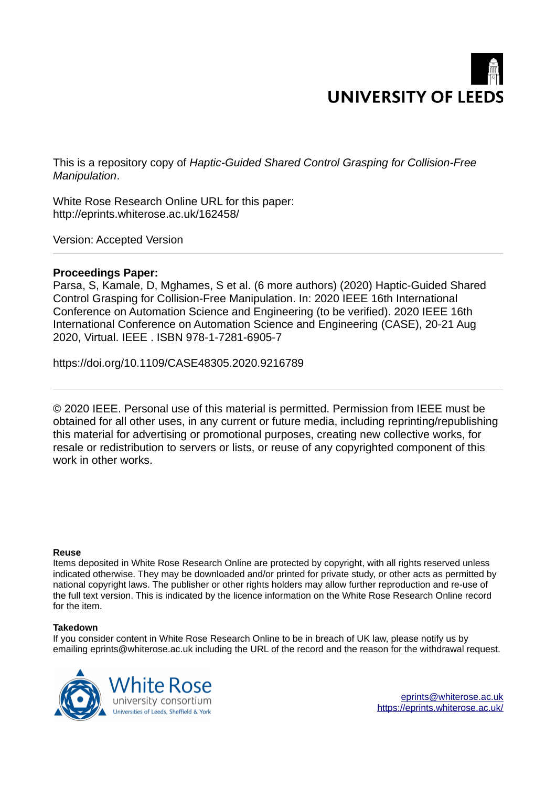

This is a repository copy of *Haptic-Guided Shared Control Grasping for Collision-Free Manipulation*.

White Rose Research Online URL for this paper: http://eprints.whiterose.ac.uk/162458/

Version: Accepted Version

## **Proceedings Paper:**

Parsa, S, Kamale, D, Mghames, S et al. (6 more authors) (2020) Haptic-Guided Shared Control Grasping for Collision-Free Manipulation. In: 2020 IEEE 16th International Conference on Automation Science and Engineering (to be verified). 2020 IEEE 16th International Conference on Automation Science and Engineering (CASE), 20-21 Aug 2020, Virtual. IEEE . ISBN 978-1-7281-6905-7

https://doi.org/10.1109/CASE48305.2020.9216789

© 2020 IEEE. Personal use of this material is permitted. Permission from IEEE must be obtained for all other uses, in any current or future media, including reprinting/republishing this material for advertising or promotional purposes, creating new collective works, for resale or redistribution to servers or lists, or reuse of any copyrighted component of this work in other works.

## **Reuse**

Items deposited in White Rose Research Online are protected by copyright, with all rights reserved unless indicated otherwise. They may be downloaded and/or printed for private study, or other acts as permitted by national copyright laws. The publisher or other rights holders may allow further reproduction and re-use of the full text version. This is indicated by the licence information on the White Rose Research Online record for the item.

## **Takedown**

If you consider content in White Rose Research Online to be in breach of UK law, please notify us by emailing eprints@whiterose.ac.uk including the URL of the record and the reason for the withdrawal request.

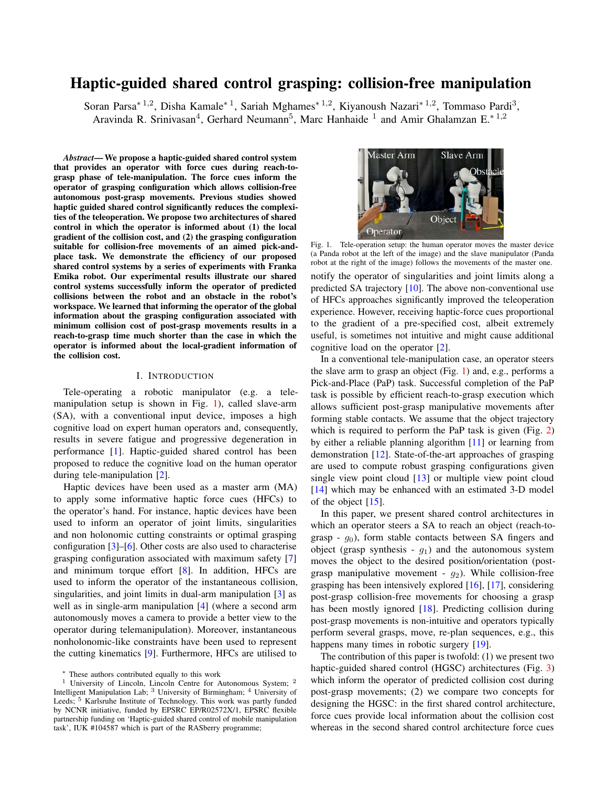# Haptic-guided shared control grasping: collision-free manipulation

Soran Parsa<sup>∗ 1,2</sup>, Disha Kamale<sup>∗ 1</sup>, Sariah Mghames<sup>∗ 1,2</sup>, Kiyanoush Nazari<sup>∗ 1,2</sup>, Tommaso Pardi<sup>3</sup>, Aravinda R. Srinivasan<sup>4</sup>, Gerhard Neumann<sup>5</sup>, Marc Hanhaide<sup>1</sup> and Amir Ghalamzan E.<sup>\*1,2</sup>

*Abstract*— We propose a haptic-guided shared control system that provides an operator with force cues during reach-tograsp phase of tele-manipulation. The force cues inform the operator of grasping configuration which allows collision-free autonomous post-grasp movements. Previous studies showed haptic guided shared control significantly reduces the complexities of the teleoperation. We propose two architectures of shared control in which the operator is informed about (1) the local gradient of the collision cost, and (2) the grasping configuration suitable for collision-free movements of an aimed pick-andplace task. We demonstrate the efficiency of our proposed shared control systems by a series of experiments with Franka Emika robot. Our experimental results illustrate our shared control systems successfully inform the operator of predicted collisions between the robot and an obstacle in the robot's workspace. We learned that informing the operator of the global information about the grasping configuration associated with minimum collision cost of post-grasp movements results in a reach-to-grasp time much shorter than the case in which the operator is informed about the local-gradient information of the collision cost.

## I. INTRODUCTION

Tele-operating a robotic manipulator (e.g. a telemanipulation setup is shown in Fig. 1), called slave-arm (SA), with a conventional input device, imposes a high cognitive load on expert human operators and, consequently, results in severe fatigue and progressive degeneration in performance [1]. Haptic-guided shared control has been proposed to reduce the cognitive load on the human operator during tele-manipulation [2].

Haptic devices have been used as a master arm (MA) to apply some informative haptic force cues (HFCs) to the operator's hand. For instance, haptic devices have been used to inform an operator of joint limits, singularities and non holonomic cutting constraints or optimal grasping configuration [3]–[6]. Other costs are also used to characterise grasping configuration associated with maximum safety [7] and minimum torque effort [8]. In addition, HFCs are used to inform the operator of the instantaneous collision, singularities, and joint limits in dual-arm manipulation [3] as well as in single-arm manipulation [4] (where a second arm autonomously moves a camera to provide a better view to the operator during telemanipulation). Moreover, instantaneous nonholonomic-like constraints have been used to represent the cutting kinematics [9]. Furthermore, HFCs are utilised to



Fig. 1. Tele-operation setup: the human operator moves the master device (a Panda robot at the left of the image) and the slave manipulator (Panda robot at the right of the image) follows the movements of the master one. notify the operator of singularities and joint limits along a predicted SA trajectory [10]. The above non-conventional use of HFCs approaches significantly improved the teleoperation experience. However, receiving haptic-force cues proportional to the gradient of a pre-specified cost, albeit extremely useful, is sometimes not intuitive and might cause additional cognitive load on the operator [2].

In a conventional tele-manipulation case, an operator steers the slave arm to grasp an object (Fig. 1) and, e.g., performs a Pick-and-Place (PaP) task. Successful completion of the PaP task is possible by efficient reach-to-grasp execution which allows sufficient post-grasp manipulative movements after forming stable contacts. We assume that the object trajectory which is required to perform the PaP task is given (Fig. 2) by either a reliable planning algorithm [11] or learning from demonstration [12]. State-of-the-art approaches of grasping are used to compute robust grasping configurations given single view point cloud [13] or multiple view point cloud [14] which may be enhanced with an estimated 3-D model of the object [15].

In this paper, we present shared control architectures in which an operator steers a SA to reach an object (reach-tograsp -  $g_0$ ), form stable contacts between SA fingers and object (grasp synthesis -  $q_1$ ) and the autonomous system moves the object to the desired position/orientation (postgrasp manipulative movement -  $g_2$ ). While collision-free grasping has been intensively explored [16], [17], considering post-grasp collision-free movements for choosing a grasp has been mostly ignored [18]. Predicting collision during post-grasp movements is non-intuitive and operators typically perform several grasps, move, re-plan sequences, e.g., this happens many times in robotic surgery  $[19]$ .

The contribution of this paper is twofold: (1) we present two haptic-guided shared control (HGSC) architectures (Fig. 3) which inform the operator of predicted collision cost during post-grasp movements; (2) we compare two concepts for designing the HGSC: in the first shared control architecture, force cues provide local information about the collision cost whereas in the second shared control architecture force cues

<sup>∗</sup> These authors contributed equally to this work

<sup>&</sup>lt;sup>1</sup> University of Lincoln, Lincoln Centre for Autonomous System; <sup>2</sup> Intelligent Manipulation Lab; <sup>3</sup> University of Birmingham; <sup>4</sup> University of Leeds; <sup>5</sup> Karlsruhe Institute of Technology. This work was partly funded by NCNR initiative, funded by EPSRC EP/R02572X/1, EPSRC flexible partnership funding on 'Haptic-guided shared control of mobile manipulation task', IUK #104587 which is part of the RASberry programme;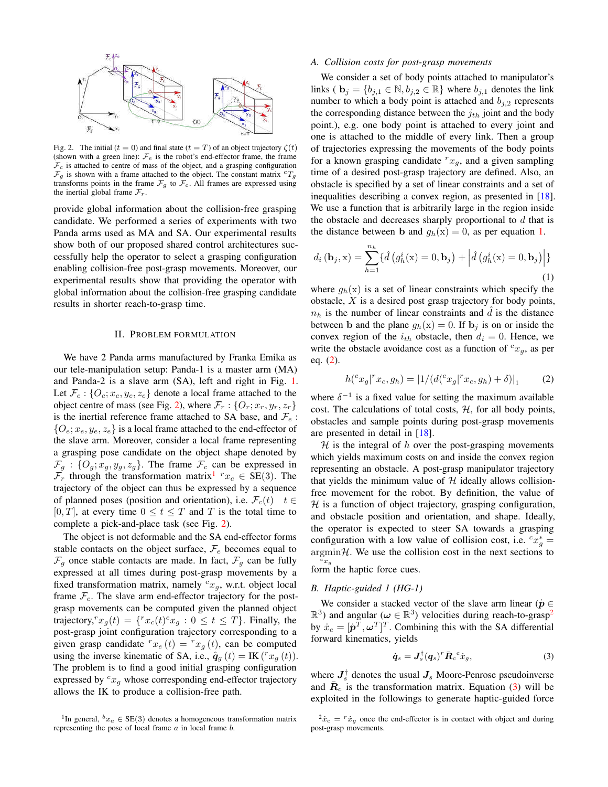

Fig. 2. The initial ( $t = 0$ ) and final state ( $t = T$ ) of an object trajectory  $\zeta(t)$ (shown with a green line):  $\mathcal{F}_e$  is the robot's end-effector frame, the frame  $\mathcal{F}_c$  is attached to centre of mass of the object, and a grasping configuration  $\mathcal{F}_g$  is shown with a frame attached to the object. The constant matrix  ${}^cT_g$ transforms points in the frame  $\mathcal{F}_g$  to  $\mathcal{F}_c$ . All frames are expressed using the inertial global frame  $\mathcal{F}_r$ .

provide global information about the collision-free grasping candidate. We performed a series of experiments with two Panda arms used as MA and SA. Our experimental results show both of our proposed shared control architectures successfully help the operator to select a grasping configuration enabling collision-free post-grasp movements. Moreover, our experimental results show that providing the operator with global information about the collision-free grasping candidate results in shorter reach-to-grasp time.

#### II. PROBLEM FORMULATION

We have 2 Panda arms manufactured by Franka Emika as our tele-manipulation setup: Panda-1 is a master arm (MA) and Panda-2 is a slave arm (SA), left and right in Fig. 1. Let  $\mathcal{F}_c$ : { $O_c$ ;  $x_c, y_c, z_c$ } denote a local frame attached to the object centre of mass (see Fig. 2), where  $\mathcal{F}_r$  :  $\{O_r; x_r, y_r, z_r\}$ is the inertial reference frame attached to SA base, and  $\mathcal{F}_e$ :  $\{O_e; x_e, y_e, z_e\}$  is a local frame attached to the end-effector of the slave arm. Moreover, consider a local frame representing a grasping pose candidate on the object shape denoted by  $\mathcal{F}_g$  : { $O_g$ ;  $x_g$ ,  $y_g$ ,  $z_g$ }. The frame  $\mathcal{F}_c$  can be expressed in  $\mathcal{F}_r$  through the transformation matrix<sup>1</sup>  $r_{x_c} \in SE(3)$ . The trajectory of the object can thus be expressed by a sequence of planned poses (position and orientation), i.e.  $\mathcal{F}_c(t) \quad t \in$ [0, T], at every time  $0 \le t \le T$  and T is the total time to complete a pick-and-place task (see Fig. 2).

The object is not deformable and the SA end-effector forms stable contacts on the object surface,  $\mathcal{F}_e$  becomes equal to  $\mathcal{F}_g$  once stable contacts are made. In fact,  $\mathcal{F}_g$  can be fully expressed at all times during post-grasp movements by a fixed transformation matrix, namely  $c_{x_g}$ , w.r.t. object local frame  $\mathcal{F}_c$ . The slave arm end-effector trajectory for the postgrasp movements can be computed given the planned object trajectory,<sup> $r_{x_g}(t) = \{r_{x_c}(t)^c x_g : 0 \le t \le T\}$ . Finally, the</sup> post-grasp joint configuration trajectory corresponding to a given grasp candidate  $r_{x_e}(t) = r_{x_q}(t)$ , can be computed using the inverse kinematic of SA, i.e.,  $\hat{\mathbf{q}}_g(t) = \text{IK}(r x_g(t))$ . The problem is to find a good initial grasping configuration expressed by  $c_{x_q}$  whose corresponding end-effector trajectory allows the IK to produce a collision-free path.

#### *A. Collision costs for post-grasp movements*

We consider a set of body points attached to manipulator's links (  $\mathbf{b}_j = \{b_{j,1} \in \mathbb{N}, b_{j,2} \in \mathbb{R}\}\$  where  $b_{j,1}$  denotes the link number to which a body point is attached and  $b_{i,2}$  represents the corresponding distance between the  $j_{th}$  joint and the body point.), e.g. one body point is attached to every joint and one is attached to the middle of every link. Then a group of trajectories expressing the movements of the body points for a known grasping candidate  $r x_g$ , and a given sampling time of a desired post-grasp trajectory are defined. Also, an obstacle is specified by a set of linear constraints and a set of inequalities describing a convex region, as presented in [18]. We use a function that is arbitrarily large in the region inside the obstacle and decreases sharply proportional to  $d$  that is the distance between b and  $g_h(x) = 0$ , as per equation 1.

$$
d_i(\mathbf{b}_j, \mathbf{x}) = \sum_{h=1}^{n_h} \{ \hat{d} (g_h^i(\mathbf{x}) = 0, \mathbf{b}_j) + \left| \hat{d} (g_h^i(\mathbf{x}) = 0, \mathbf{b}_j) \right| \}
$$
(1)

where  $g_h(x)$  is a set of linear constraints which specify the obstacle,  $X$  is a desired post grasp trajectory for body points,  $n_h$  is the number of linear constraints and  $\tilde{d}$  is the distance between b and the plane  $g_h(x) = 0$ . If  $b_j$  is on or inside the convex region of the  $i_{th}$  obstacle, then  $d_i = 0$ . Hence, we write the obstacle avoidance cost as a function of  $c_{x_g}$ , as per eq. (2).

$$
h({}^c x_g | {}^r x_c, g_h) = |1/(d({}^c x_g | {}^r x_c, g_h) + \delta)|_1 \tag{2}
$$

where  $\delta^{-1}$  is a fixed value for setting the maximum available cost. The calculations of total costs,  $H$ , for all body points, obstacles and sample points during post-grasp movements are presented in detail in [18].

 $H$  is the integral of h over the post-grasping movements which yields maximum costs on and inside the convex region representing an obstacle. A post-grasp manipulator trajectory that yields the minimum value of  $H$  ideally allows collisionfree movement for the robot. By definition, the value of  $H$  is a function of object trajectory, grasping configuration, and obstacle position and orientation, and shape. Ideally, the operator is expected to steer SA towards a grasping configuration with a low value of collision cost, i.e.  ${}^{c}x_{g}^{*} =$  $\operatorname*{argmin}_{\mathcal{H}} \mathcal{H}$ . We use the collision cost in the next sections to  $^cx_g$ form the haptic force cues.

## *B. Haptic-guided 1 (HG-1)*

We consider a stacked vector of the slave arm linear ( $\dot{p} \in$  $(\mathbb{R}^3)$  and angular ( $\omega \in \mathbb{R}^3$ ) velocities during reach-to-grasp<sup>2</sup> by  $\dot{x}_e = [\dot{\mathbf{p}}^T, \omega^T]^T$ . Combining this with the SA differential forward kinematics, yields

$$
\dot{\boldsymbol{q}}_s = \boldsymbol{J}_s^\dagger (\boldsymbol{q}_s)^r \bar{\boldsymbol{R}}_c^{\ c} \dot{\boldsymbol{x}}_g,\tag{3}
$$

where  $J_s^{\dagger}$  denotes the usual  $J_s$  Moore-Penrose pseudoinverse and  $\bar{R}_c$  is the transformation matrix. Equation (3) will be exploited in the followings to generate haptic-guided force

<sup>&</sup>lt;sup>1</sup>In general,  ${}^b x_a \in SE(3)$  denotes a homogeneous transformation matrix representing the pose of local frame  $a$  in local frame  $b$ .

 $^{2} \dot{x}_{e} = r \dot{x}_{g}$  once the end-effector is in contact with object and during post-grasp movements.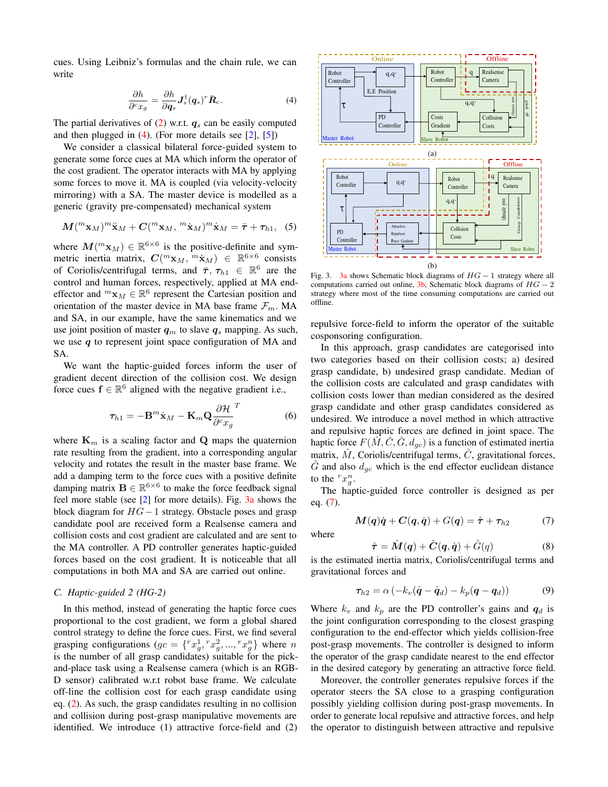cues. Using Leibniz's formulas and the chain rule, we can write

$$
\frac{\partial h}{\partial^c x_g} = \frac{\partial h}{\partial \mathbf{q}_s} \mathbf{J}_s^\dagger (\mathbf{q}_s)^r \bar{\mathbf{R}}_c.
$$
 (4)

The partial derivatives of  $(2)$  w.r.t.  $q_s$  can be easily computed and then plugged in  $(4)$ . (For more details see [2], [5])

We consider a classical bilateral force-guided system to generate some force cues at MA which inform the operator of the cost gradient. The operator interacts with MA by applying some forces to move it. MA is coupled (via velocity-velocity mirroring) with a SA. The master device is modelled as a generic (gravity pre-compensated) mechanical system

$$
\mathbf{M}(^m \mathbf{x}_M)^m \ddot{\mathbf{x}}_M + \mathbf{C}(^m \mathbf{x}_M, ^m \dot{\mathbf{x}}_M)^m \dot{\mathbf{x}}_M = \bar{\boldsymbol{\tau}} + \boldsymbol{\tau}_{h1}, \quad (5)
$$

where  $M(^{m}x_M) \in \mathbb{R}^{6 \times 6}$  is the positive-definite and symmetric inertia matrix,  $C(^m \mathbf{x}_M, \ ^m \mathbf{x}_M) \in \ \mathbb{R}^{6 \times 6}$  consists of Coriolis/centrifugal terms, and  $\bar{\tau}$ ,  $\tau_{h1} \in \mathbb{R}^6$  are the control and human forces, respectively, applied at MA endeffector and  ${}^m\mathbf{x}_M \in \mathbb{R}^6$  represent the Cartesian position and orientation of the master device in MA base frame  $\mathcal{F}_m$ . MA and SA, in our example, have the same kinematics and we use joint position of master  $q_m$  to slave  $q_s$  mapping. As such, we use  $q$  to represent joint space configuration of MA and SA.

We want the haptic-guided forces inform the user of gradient decent direction of the collision cost. We design force cues  $f \in \mathbb{R}^6$  aligned with the negative gradient i.e.,

$$
\boldsymbol{\tau}_{h1} = -\mathbf{B}^m \dot{\mathbf{x}}_M - \mathbf{K}_m \mathbf{Q} \frac{\partial \mathcal{H}}{\partial^c x_g}^T
$$
 (6)

where  $\mathbf{K}_m$  is a scaling factor and  $\mathbf{Q}$  maps the quaternion rate resulting from the gradient, into a corresponding angular velocity and rotates the result in the master base frame. We add a damping term to the force cues with a positive definite damping matrix  $\mathbf{B} \in \mathbb{R}^{6 \times 6}$  to make the force feedback signal feel more stable (see [2] for more details). Fig. 3a shows the block diagram for HG−1 strategy. Obstacle poses and grasp candidate pool are received form a Realsense camera and collision costs and cost gradient are calculated and are sent to the MA controller. A PD controller generates haptic-guided forces based on the cost gradient. It is noticeable that all computations in both MA and SA are carried out online.

#### *C. Haptic-guided 2 (HG-2)*

In this method, instead of generating the haptic force cues proportional to the cost gradient, we form a global shared control strategy to define the force cues. First, we find several grasping configurations  $(gc = \{ {}^{r}x_{g}^{1}, {}^{r}x_{g}^{2}, ..., {}^{r}x_{g}^{n} \}$  where n is the number of all grasp candidates) suitable for the pickand-place task using a Realsense camera (which is an RGB-D sensor) calibrated w.r.t robot base frame. We calculate off-line the collision cost for each grasp candidate using eq. (2). As such, the grasp candidates resulting in no collision and collision during post-grasp manipulative movements are identified. We introduce (1) attractive force-field and (2)



Fig. 3. 3a shows Schematic block diagrams of  $HG - 1$  strategy where all computations carried out online,  $3b$ , Schematic block diagrams of  $HG - 2$ strategy where most of the time consuming computations are carried out offline.

repulsive force-field to inform the operator of the suitable cosponsoring configuration.

In this approach, grasp candidates are categorised into two categories based on their collision costs; a) desired grasp candidate, b) undesired grasp candidate. Median of the collision costs are calculated and grasp candidates with collision costs lower than median considered as the desired grasp candidate and other grasp candidates considered as undesired. We introduce a novel method in which attractive and repulsive haptic forces are defined in joint space. The haptic force  $F(\hat{M}, \hat{C}, \hat{G}, d_{gc})$  is a function of estimated inertia matrix,  $\hat{M}$ , Coriolis/centrifugal terms,  $\hat{C}$ , gravitational forces,  $\tilde{G}$  and also  $d_{qc}$  which is the end effector euclidean distance to the  $r x_g^n$ .

The haptic-guided force controller is designed as per eq. (7).

$$
\mathbf{M}(\mathbf{q})\dot{\mathbf{q}} + \mathbf{C}(\mathbf{q}, \dot{\mathbf{q}}) + G(\mathbf{q}) = \hat{\boldsymbol{\tau}} + \boldsymbol{\tau}_{h2} \tag{7}
$$

where

$$
\hat{\boldsymbol{\tau}} = \hat{\boldsymbol{M}}(\boldsymbol{q}) + \hat{\boldsymbol{C}}(\boldsymbol{q}, \dot{\boldsymbol{q}}) + \hat{G}(q) \tag{8}
$$

is the estimated inertia matrix, Coriolis/centrifugal terms and gravitational forces and

$$
\tau_{h2} = \alpha \left( -k_v (\dot{\boldsymbol{q}} - \dot{\boldsymbol{q}}_d) - k_p (\boldsymbol{q} - \boldsymbol{q}_d) \right) \tag{9}
$$

Where  $k_v$  and  $k_p$  are the PD controller's gains and  $q_d$  is the joint configuration corresponding to the closest grasping configuration to the end-effector which yields collision-free post-grasp movements. The controller is designed to inform the operator of the grasp candidate nearest to the end effector in the desired category by generating an attractive force field.

Moreover, the controller generates repulsive forces if the operator steers the SA close to a grasping configuration possibly yielding collision during post-grasp movements. In order to generate local repulsive and attractive forces, and help the operator to distinguish between attractive and repulsive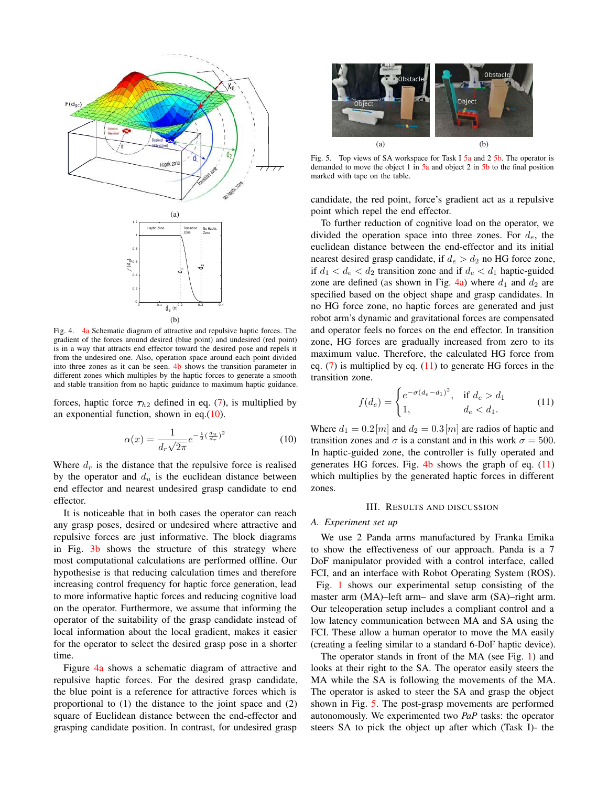

Fig. 4. 4a Schematic diagram of attractive and repulsive haptic forces. The gradient of the forces around desired (blue point) and undesired (red point) is in a way that attracts end effector toward the desired pose and repels it from the undesired one. Also, operation space around each point divided into three zones as it can be seen. 4b shows the transition parameter in different zones which multiples by the haptic forces to generate a smooth and stable transition from no haptic guidance to maximum haptic guidance.

forces, haptic force  $\tau_{h2}$  defined in eq. (7), is multiplied by an exponential function, shown in eq.(10).

$$
\alpha(x) = \frac{1}{d_r \sqrt{2\pi}} e^{-\frac{1}{2}(\frac{d_u}{d_r})^2}
$$
(10)

Where  $d_r$  is the distance that the repulsive force is realised by the operator and  $d_u$  is the euclidean distance between end effector and nearest undesired grasp candidate to end effector.

It is noticeable that in both cases the operator can reach any grasp poses, desired or undesired where attractive and repulsive forces are just informative. The block diagrams in Fig. 3b shows the structure of this strategy where most computational calculations are performed offline. Our hypothesise is that reducing calculation times and therefore increasing control frequency for haptic force generation, lead to more informative haptic forces and reducing cognitive load on the operator. Furthermore, we assume that informing the operator of the suitability of the grasp candidate instead of local information about the local gradient, makes it easier for the operator to select the desired grasp pose in a shorter time.

Figure 4a shows a schematic diagram of attractive and repulsive haptic forces. For the desired grasp candidate, the blue point is a reference for attractive forces which is proportional to (1) the distance to the joint space and (2) square of Euclidean distance between the end-effector and grasping candidate position. In contrast, for undesired grasp



Fig. 5. Top views of SA workspace for Task I 5a and 2 5b. The operator is demanded to move the object 1 in 5a and object 2 in 5b to the final position marked with tape on the table.

candidate, the red point, force's gradient act as a repulsive point which repel the end effector.

To further reduction of cognitive load on the operator, we divided the operation space into three zones. For  $d_e$ , the euclidean distance between the end-effector and its initial nearest desired grasp candidate, if  $d_e > d_2$  no HG force zone, if  $d_1 < d_e < d_2$  transition zone and if  $d_e < d_1$  haptic-guided zone are defined (as shown in Fig. 4a) where  $d_1$  and  $d_2$  are specified based on the object shape and grasp candidates. In no HG force zone, no haptic forces are generated and just robot arm's dynamic and gravitational forces are compensated and operator feels no forces on the end effector. In transition zone, HG forces are gradually increased from zero to its maximum value. Therefore, the calculated HG force from eq.  $(7)$  is multiplied by eq.  $(11)$  to generate HG forces in the transition zone.

$$
f(d_e) = \begin{cases} e^{-\sigma(d_e - d_1)^2}, & \text{if } d_e > d_1 \\ 1, & d_e < d_1. \end{cases}
$$
 (11)

Where  $d_1 = 0.2[m]$  and  $d_2 = 0.3[m]$  are radios of haptic and transition zones and  $\sigma$  is a constant and in this work  $\sigma = 500$ . In haptic-guided zone, the controller is fully operated and generates HG forces. Fig.  $4b$  shows the graph of eq.  $(11)$ which multiplies by the generated haptic forces in different zones.

#### III. RESULTS AND DISCUSSION

#### *A. Experiment set up*

We use 2 Panda arms manufactured by Franka Emika to show the effectiveness of our approach. Panda is a 7 DoF manipulator provided with a control interface, called FCI, and an interface with Robot Operating System (ROS). Fig. 1 shows our experimental setup consisting of the master arm (MA)–left arm– and slave arm (SA)–right arm. Our teleoperation setup includes a compliant control and a low latency communication between MA and SA using the FCI. These allow a human operator to move the MA easily (creating a feeling similar to a standard 6-DoF haptic device).

The operator stands in front of the MA (see Fig. 1) and looks at their right to the SA. The operator easily steers the MA while the SA is following the movements of the MA. The operator is asked to steer the SA and grasp the object shown in Fig. 5. The post-grasp movements are performed autonomously. We experimented two *PaP* tasks: the operator steers SA to pick the object up after which (Task I)- the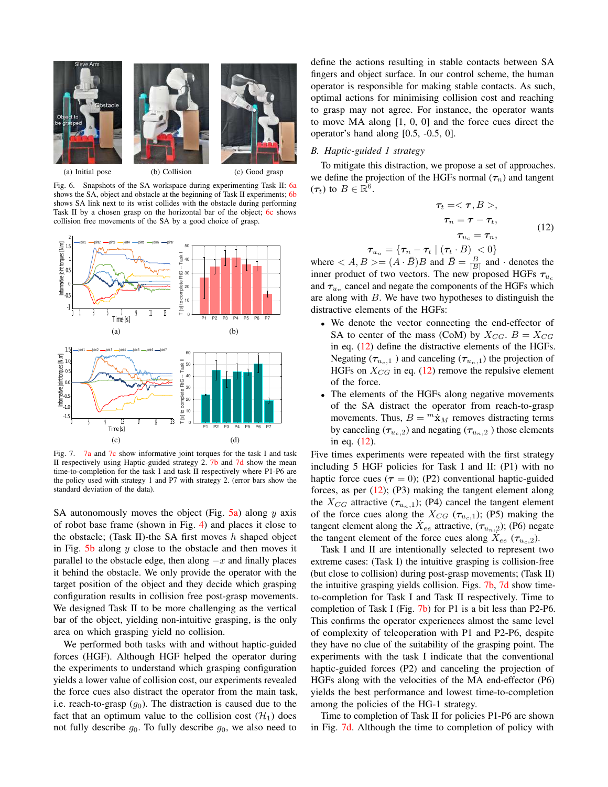



Fig. 6. Snapshots of the SA workspace during experimenting Task II: 6a shows the SA, object and obstacle at the beginning of Task II experiments; 6b shows SA link next to its wrist collides with the obstacle during performing Task II by a chosen grasp on the horizontal bar of the object; 6c shows collision free movements of the SA by a good choice of grasp.



Fig. 7. 7a and 7c show informative joint torques for the task I and task II respectively using Haptic-guided strategy 2. 7b and 7d show the mean time-to-completion for the task I and task II respectively where P1-P6 are the policy used with strategy 1 and P7 with strategy 2. (error bars show the standard deviation of the data).

SA autonomously moves the object (Fig.  $5a$ ) along y axis of robot base frame (shown in Fig. 4) and places it close to the obstacle; (Task II)-the SA first moves  $h$  shaped object in Fig. 5b along  $y$  close to the obstacle and then moves it parallel to the obstacle edge, then along  $-x$  and finally places it behind the obstacle. We only provide the operator with the target position of the object and they decide which grasping configuration results in collision free post-grasp movements. We designed Task II to be more challenging as the vertical bar of the object, yielding non-intuitive grasping, is the only area on which grasping yield no collision.

We performed both tasks with and without haptic-guided forces (HGF). Although HGF helped the operator during the experiments to understand which grasping configuration yields a lower value of collision cost, our experiments revealed the force cues also distract the operator from the main task, i.e. reach-to-grasp  $(g_0)$ . The distraction is caused due to the fact that an optimum value to the collision cost  $(\mathcal{H}_1)$  does not fully describe  $g_0$ . To fully describe  $g_0$ , we also need to

define the actions resulting in stable contacts between SA fingers and object surface. In our control scheme, the human operator is responsible for making stable contacts. As such, optimal actions for minimising collision cost and reaching to grasp may not agree. For instance, the operator wants to move MA along [1, 0, 0] and the force cues direct the operator's hand along [0.5, -0.5, 0].

#### *B. Haptic-guided 1 strategy*

To mitigate this distraction, we propose a set of approaches. we define the projection of the HGFs normal  $(\tau_n)$  and tangent  $(\tau_t)$  to  $B \in \mathbb{R}^6$ .

$$
\tau_t = \langle \tau, B \rangle, \n\tau_n = \tau - \tau_t, \n\tau_{u_c} = \tau_n,
$$
\n(12)

 $\boldsymbol{\tau}_{u_n} = \{\boldsymbol{\tau}_n - \boldsymbol{\tau}_t \mid (\boldsymbol{\tau}_t \cdot B) < 0\}$ 

where  $\langle A, B \rangle = (A \cdot \overline{B})B$  and  $\overline{B} = \frac{B}{|B|}$  and  $\cdot$  denotes the inner product of two vectors. The new proposed HGFs  $\tau_{u_c}$ and  $\tau_{u_n}$  cancel and negate the components of the HGFs which are along with  $B$ . We have two hypotheses to distinguish the distractive elements of the HGFs:

- We denote the vector connecting the end-effector of SA to center of the mass (CoM) by  $X_{CG}$ .  $B = X_{CG}$ in eq. (12) define the distractive elements of the HGFs. Negating ( $\tau_{u_c,1}$ ) and canceling ( $\tau_{u_n,1}$ ) the projection of HGFs on  $X_{CG}$  in eq. (12) remove the repulsive element of the force.
- The elements of the HGFs along negative movements of the SA distract the operator from reach-to-grasp movements. Thus,  $B = {}^m\dot{\mathbf{x}}_M$  removes distracting terms by canceling ( $\tau_{u_c,2}$ ) and negating ( $\tau_{u_n,2}$ ) those elements in eq. (12).

Five times experiments were repeated with the first strategy including 5 HGF policies for Task I and II: (P1) with no haptic force cues ( $\tau = 0$ ); (P2) conventional haptic-guided forces, as per (12); (P3) making the tangent element along the  $X_{CG}$  attractive  $(\tau_{u_n,1})$ ; (P4) cancel the tangent element of the force cues along the  $X_{CG}$  ( $\tau_{u_c,1}$ ); (P5) making the tangent element along the  $\dot{X}_{ee}$  attractive,  $(\tau_{u_n,2})$ ; (P6) negate the tangent element of the force cues along  $\hat{X}_{ee}$  ( $\tau_{u_c,2}$ ).

Task I and II are intentionally selected to represent two extreme cases: (Task I) the intuitive grasping is collision-free (but close to collision) during post-grasp movements; (Task II) the intuitive grasping yields collision. Figs. 7b, 7d show timeto-completion for Task I and Task II respectively. Time to completion of Task I (Fig. 7b) for P1 is a bit less than P2-P6. This confirms the operator experiences almost the same level of complexity of teleoperation with P1 and P2-P6, despite they have no clue of the suitability of the grasping point. The experiments with the task I indicate that the conventional haptic-guided forces (P2) and canceling the projection of HGFs along with the velocities of the MA end-effector (P6) yields the best performance and lowest time-to-completion among the policies of the HG-1 strategy.

Time to completion of Task II for policies P1-P6 are shown in Fig. 7d. Although the time to completion of policy with